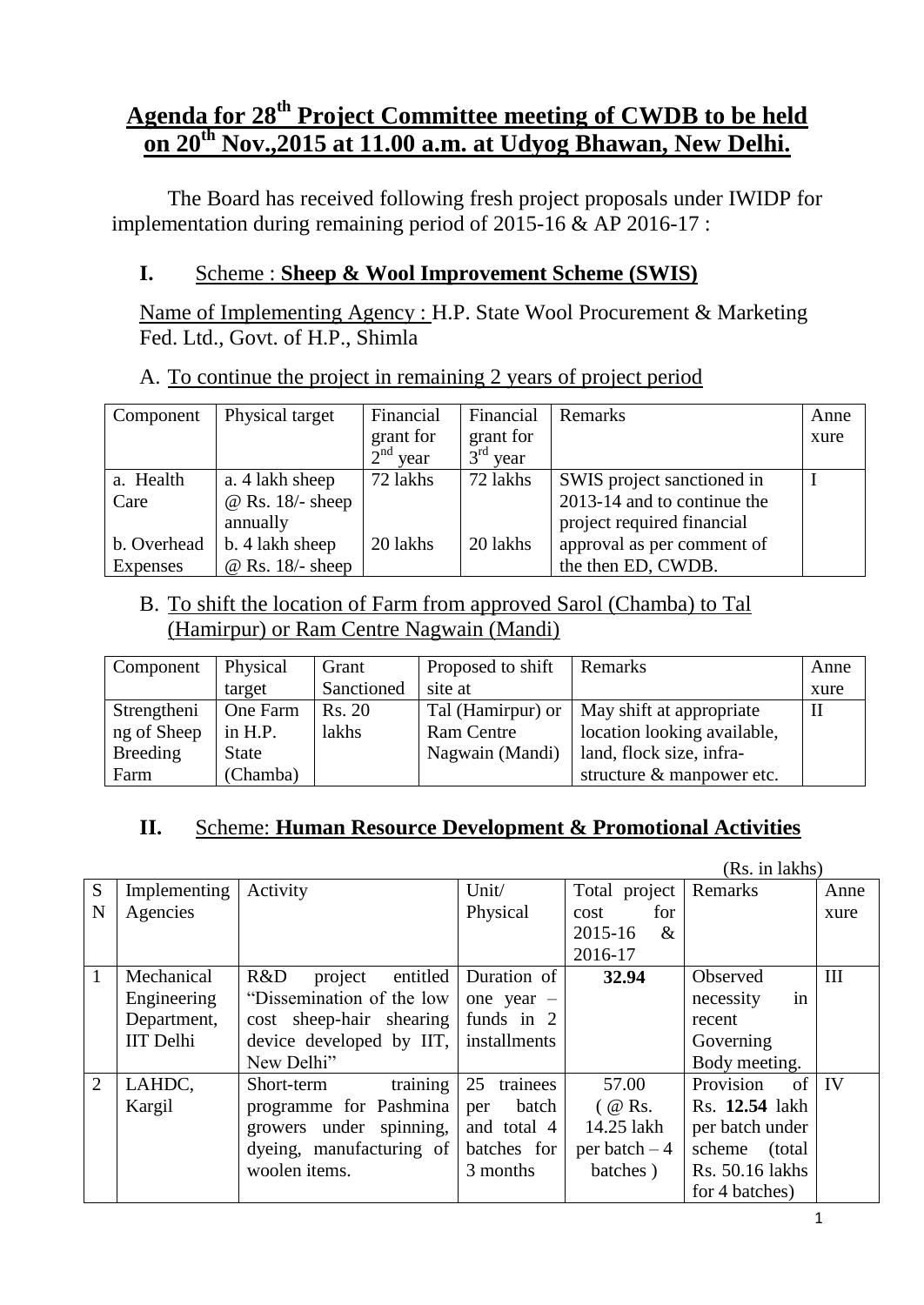## **Agenda for 28th Project Committee meeting of CWDB to be held on 20th Nov.,2015 at 11.00 a.m. at Udyog Bhawan, New Delhi.**

The Board has received following fresh project proposals under IWIDP for implementation during remaining period of 2015-16 & AP 2016-17 :

### **I.** Scheme : **Sheep & Wool Improvement Scheme (SWIS)**

Name of Implementing Agency : H.P. State Wool Procurement & Marketing Fed. Ltd., Govt. of H.P., Shimla

|--|

| Component   | Physical target         | Financial  | Financial  | Remarks                     | Anne |
|-------------|-------------------------|------------|------------|-----------------------------|------|
|             |                         | grant for  | grant for  |                             | xure |
|             |                         | $2nd$ year | $3rd$ year |                             |      |
| a. Health   | a. 4 lakh sheep         | 72 lakhs   | 72 lakhs   | SWIS project sanctioned in  |      |
| Care        | $@$ Rs. 18/- sheep      |            |            | 2013-14 and to continue the |      |
|             | annually                |            |            | project required financial  |      |
| b. Overhead | b. 4 lakh sheep         | 20 lakhs   | 20 lakhs   | approval as per comment of  |      |
| Expenses    | $\omega$ Rs. 18/- sheep |            |            | the then ED, CWDB.          |      |

### B. To shift the location of Farm from approved Sarol (Chamba) to Tal (Hamirpur) or Ram Centre Nagwain (Mandi)

| Component   | Physical     | Grant      | Proposed to shift | Remarks                     | Anne         |
|-------------|--------------|------------|-------------------|-----------------------------|--------------|
|             | target       | Sanctioned | site at           |                             | xure         |
| Strengtheni | One Farm     | Rs. 20     | Tal (Hamirpur) or | May shift at appropriate    | $\mathbf{I}$ |
| ng of Sheep | in H.P.      | lakhs      | <b>Ram Centre</b> | location looking available, |              |
| Breeding    | <b>State</b> |            | Nagwain (Mandi)   | land, flock size, infra-    |              |
| Farm        | (Chamba)     |            |                   | structure & manpower etc.   |              |

## **II.** Scheme: **Human Resource Development & Promotional Activities**

|                |                  |                            |                |                | (Rs. in lakhs)    |                          |
|----------------|------------------|----------------------------|----------------|----------------|-------------------|--------------------------|
| S              | Implementing     | Activity                   | Unit/          | Total project  | Remarks           | Anne                     |
| N              | Agencies         |                            | Physical       | for<br>cost    |                   | xure                     |
|                |                  |                            |                | 2015-16<br>&   |                   |                          |
|                |                  |                            |                | 2016-17        |                   |                          |
| 1              | Mechanical       | project<br>R&D<br>entitled | Duration of    | 32.94          | Observed          | III                      |
|                | Engineering      | "Dissemination of the low" | one year $-$   |                | necessity<br>in   |                          |
|                | Department,      | cost sheep-hair shearing   | funds in 2     |                | recent            |                          |
|                | <b>IIT</b> Delhi | device developed by IIT,   | installments   |                | Governing         |                          |
|                |                  | New Delhi"                 |                |                | Body meeting.     |                          |
| $\overline{2}$ | LAHDC,           | training<br>Short-term     | trainees<br>25 | 57.00          | Provision<br>of   | $\overline{\phantom{a}}$ |
|                | Kargil           | programme for Pashmina     | batch<br>per   | $($ @ Rs.      | Rs. 12.54 lakh    |                          |
|                |                  | growers under spinning,    | and total 4    | 14.25 lakh     | per batch under   |                          |
|                |                  | dyeing, manufacturing of   | batches for    | per batch $-4$ | scheme<br>(total) |                          |
|                |                  | woolen items.              | 3 months       | batches)       | Rs. 50.16 lakhs   |                          |
|                |                  |                            |                |                | for 4 batches)    |                          |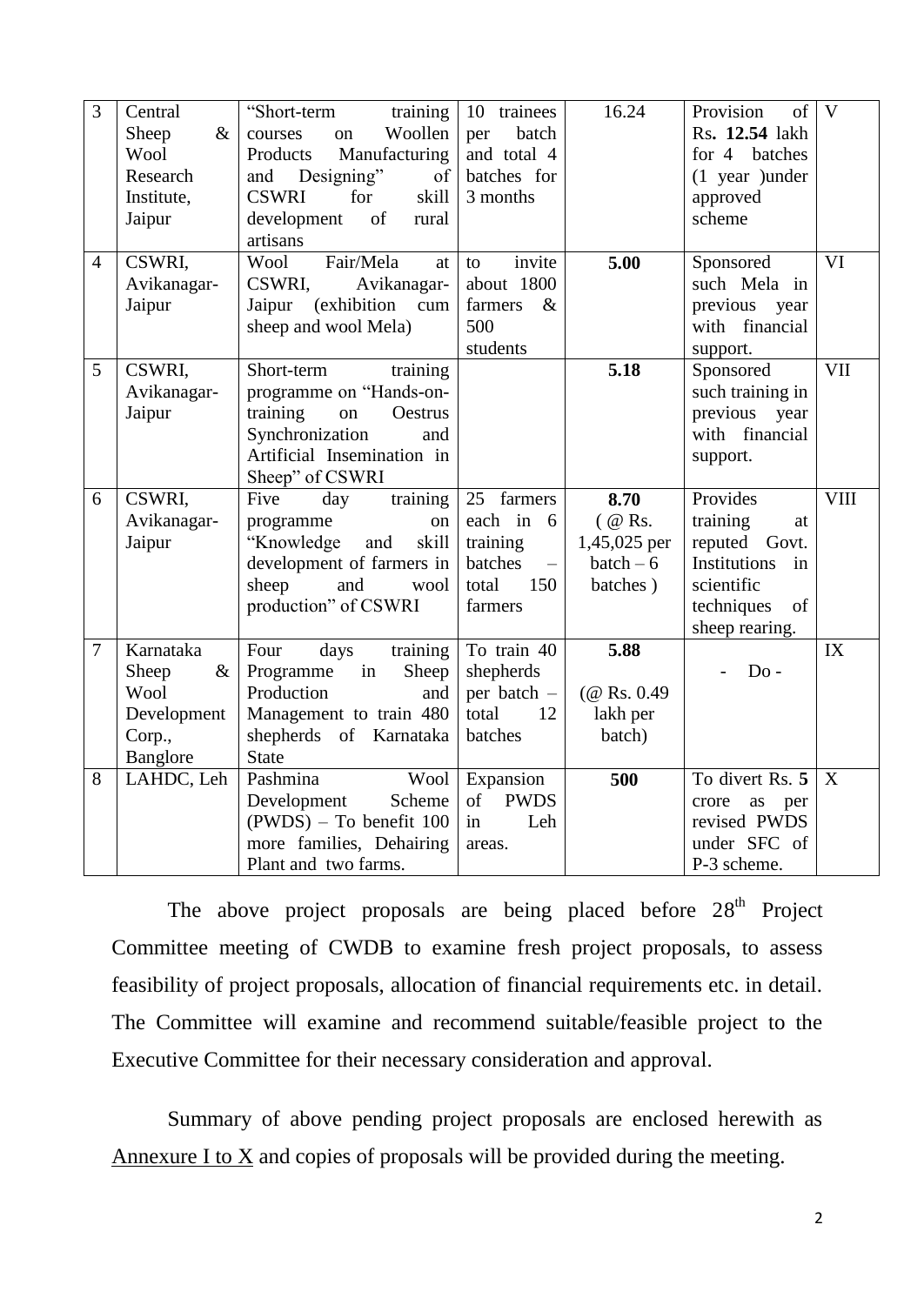| 3              | Central       | "Short-term<br>training                          | trainees<br>10               | 16.24         | Provision<br>of             | $\overline{V}$ |
|----------------|---------------|--------------------------------------------------|------------------------------|---------------|-----------------------------|----------------|
|                | $\&$<br>Sheep | Woollen<br>courses<br>on                         | batch<br>per                 |               | Rs. 12.54 lakh              |                |
|                | Wool          | Manufacturing<br>Products                        | and total 4                  |               | for 4 batches               |                |
|                | Research      | and Designing"<br>of                             | batches for                  |               | $(1$ year ) under           |                |
|                | Institute,    | <b>CSWRI</b><br>for<br>skill                     | 3 months                     |               | approved                    |                |
|                | Jaipur        | development<br>of<br>rural                       |                              |               | scheme                      |                |
|                |               | artisans                                         |                              |               |                             |                |
| $\overline{4}$ | CSWRI,        | Fair/Mela<br>Wool<br>at                          | invite<br>to                 | 5.00          | Sponsored                   | VI             |
|                | Avikanagar-   | CSWRI.<br>Avikanagar-                            | about 1800                   |               | such Mela in                |                |
|                | Jaipur        | Jaipur<br>(exhibition<br>cum                     | farmers<br>$\&$              |               | previous year               |                |
|                |               | sheep and wool Mela)                             | 500                          |               | with financial              |                |
|                |               |                                                  | students                     |               | support.                    |                |
| 5              | CSWRI.        | Short-term<br>training                           |                              | 5.18          | Sponsored                   | <b>VII</b>     |
|                | Avikanagar-   | programme on "Hands-on-                          |                              |               | such training in            |                |
|                | Jaipur        | training<br>on<br>Oestrus                        |                              |               | previous<br>year            |                |
|                |               | Synchronization<br>and                           |                              |               | with financial              |                |
|                |               | Artificial Insemination in                       |                              |               | support.                    |                |
|                |               | Sheep" of CSWRI                                  |                              |               |                             |                |
| 6              | CSWRI,        | Five<br>training<br>day                          | 25 farmers                   | 8.70          | Provides                    | <b>VIII</b>    |
|                | Avikanagar-   | programme<br>${\rm on}$                          | each in 6                    | $($ @ Rs.     | training<br>at              |                |
|                | Jaipur        | "Knowledge<br>and<br>skill                       | training                     | 1,45,025 per  | reputed Govt.               |                |
|                |               | development of farmers in                        | batches<br>$\qquad \qquad -$ | $batch-6$     | Institutions<br>in          |                |
|                |               | sheep<br>and<br>wool                             | total<br>150                 | batches)      | scientific                  |                |
|                |               | production" of CSWRI                             | farmers                      |               | techniques<br>of            |                |
|                |               |                                                  |                              |               | sheep rearing.              |                |
| $\tau$         | Karnataka     | Four<br>days<br>training                         | To train 40                  | 5.88          |                             | IX             |
|                | Sheep<br>$\&$ | Programme<br>in<br>Sheep                         | shepherds                    |               | $Do -$                      |                |
|                |               |                                                  |                              |               |                             |                |
|                |               |                                                  |                              |               |                             |                |
|                | Wool          | Production<br>and                                | per batch -                  | $(@$ Rs. 0.49 |                             |                |
|                | Development   | Management to train 480                          | total<br>12                  | lakh per      |                             |                |
|                | Corp.,        | shepherds of Karnataka                           | batches                      | batch)        |                             |                |
|                | Banglore      | <b>State</b>                                     |                              |               |                             |                |
| 8              | LAHDC, Leh    | Wool<br>Pashmina                                 | Expansion                    | 500           | To divert Rs. 5             | X              |
|                |               | Scheme<br>Development                            | of<br><b>PWDS</b>            |               | as<br>crore<br>per          |                |
|                |               | $(PWDS)$ – To benefit 100                        | Leh<br>in                    |               | revised PWDS                |                |
|                |               | more families, Dehairing<br>Plant and two farms. | areas.                       |               | under SFC of<br>P-3 scheme. |                |

The above project proposals are being placed before  $28<sup>th</sup>$  Project Committee meeting of CWDB to examine fresh project proposals, to assess feasibility of project proposals, allocation of financial requirements etc. in detail. The Committee will examine and recommend suitable/feasible project to the Executive Committee for their necessary consideration and approval.

Summary of above pending project proposals are enclosed herewith as Annexure I to  $X$  and copies of proposals will be provided during the meeting.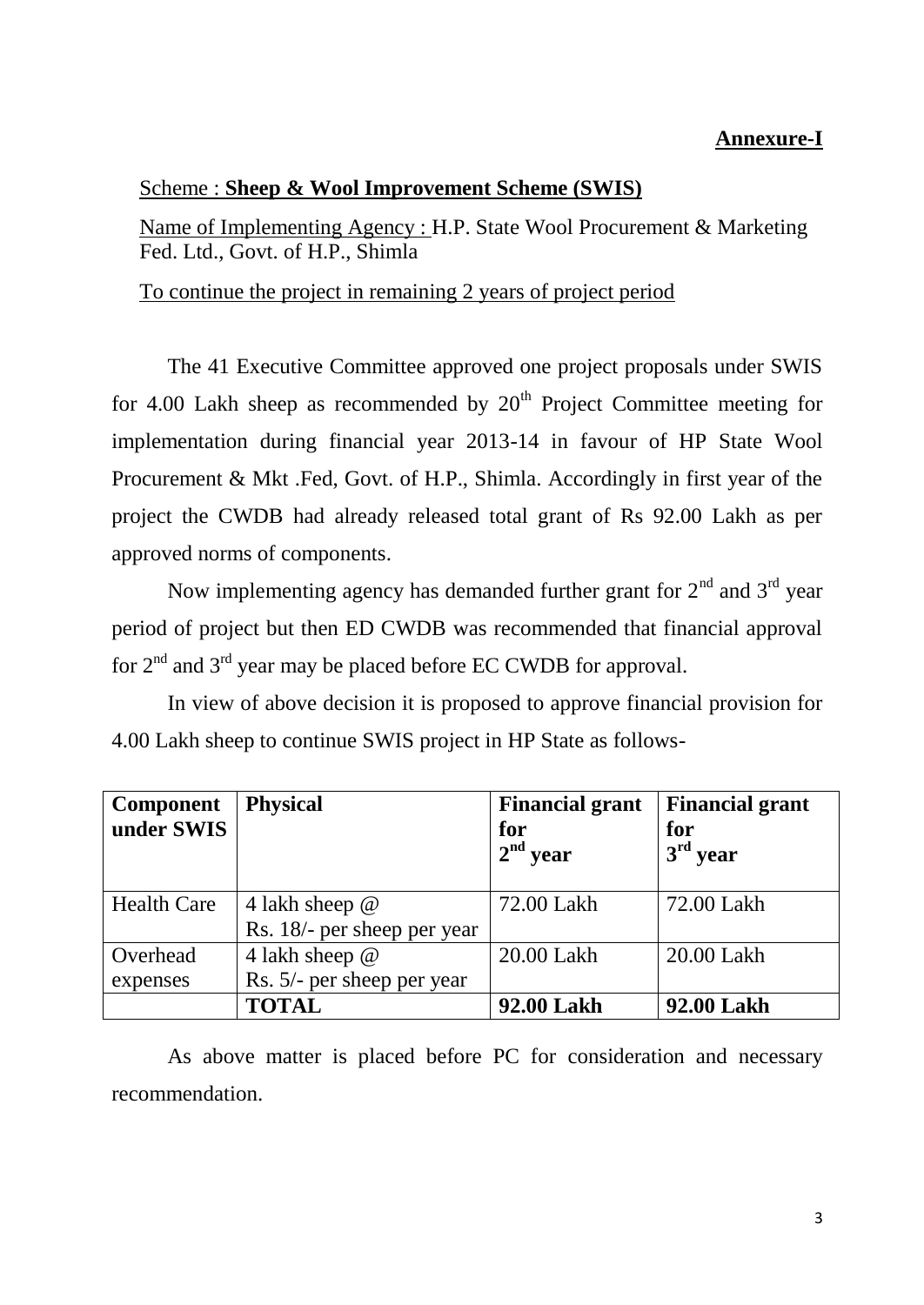### **Annexure-I**

#### Scheme : **Sheep & Wool Improvement Scheme (SWIS)**

Name of Implementing Agency : H.P. State Wool Procurement & Marketing Fed. Ltd., Govt. of H.P., Shimla

To continue the project in remaining 2 years of project period

The 41 Executive Committee approved one project proposals under SWIS for 4.00 Lakh sheep as recommended by  $20<sup>th</sup>$  Project Committee meeting for implementation during financial year 2013-14 in favour of HP State Wool Procurement & Mkt .Fed, Govt. of H.P., Shimla. Accordingly in first year of the project the CWDB had already released total grant of Rs 92.00 Lakh as per approved norms of components.

Now implementing agency has demanded further grant for  $2<sup>nd</sup>$  and  $3<sup>rd</sup>$  year period of project but then ED CWDB was recommended that financial approval for  $2<sup>nd</sup>$  and  $3<sup>rd</sup>$  year may be placed before EC CWDB for approval.

In view of above decision it is proposed to approve financial provision for 4.00 Lakh sheep to continue SWIS project in HP State as follows-

| <b>Component</b><br>under SWIS | <b>Physical</b>             | <b>Financial grant</b><br>for<br>$\pm 2^{\text{nd}}$ year | <b>Financial grant</b><br>for<br>$3rd$ year |
|--------------------------------|-----------------------------|-----------------------------------------------------------|---------------------------------------------|
| <b>Health Care</b>             | 4 lakh sheep @              | 72.00 Lakh                                                | 72.00 Lakh                                  |
|                                | Rs. 18/- per sheep per year |                                                           |                                             |
| Overhead                       | 4 lakh sheep @              | 20.00 Lakh                                                | 20.00 Lakh                                  |
| expenses                       | Rs. 5/- per sheep per year  |                                                           |                                             |
|                                | <b>TOTAL</b>                | 92.00 Lakh                                                | 92.00 Lakh                                  |

As above matter is placed before PC for consideration and necessary recommendation.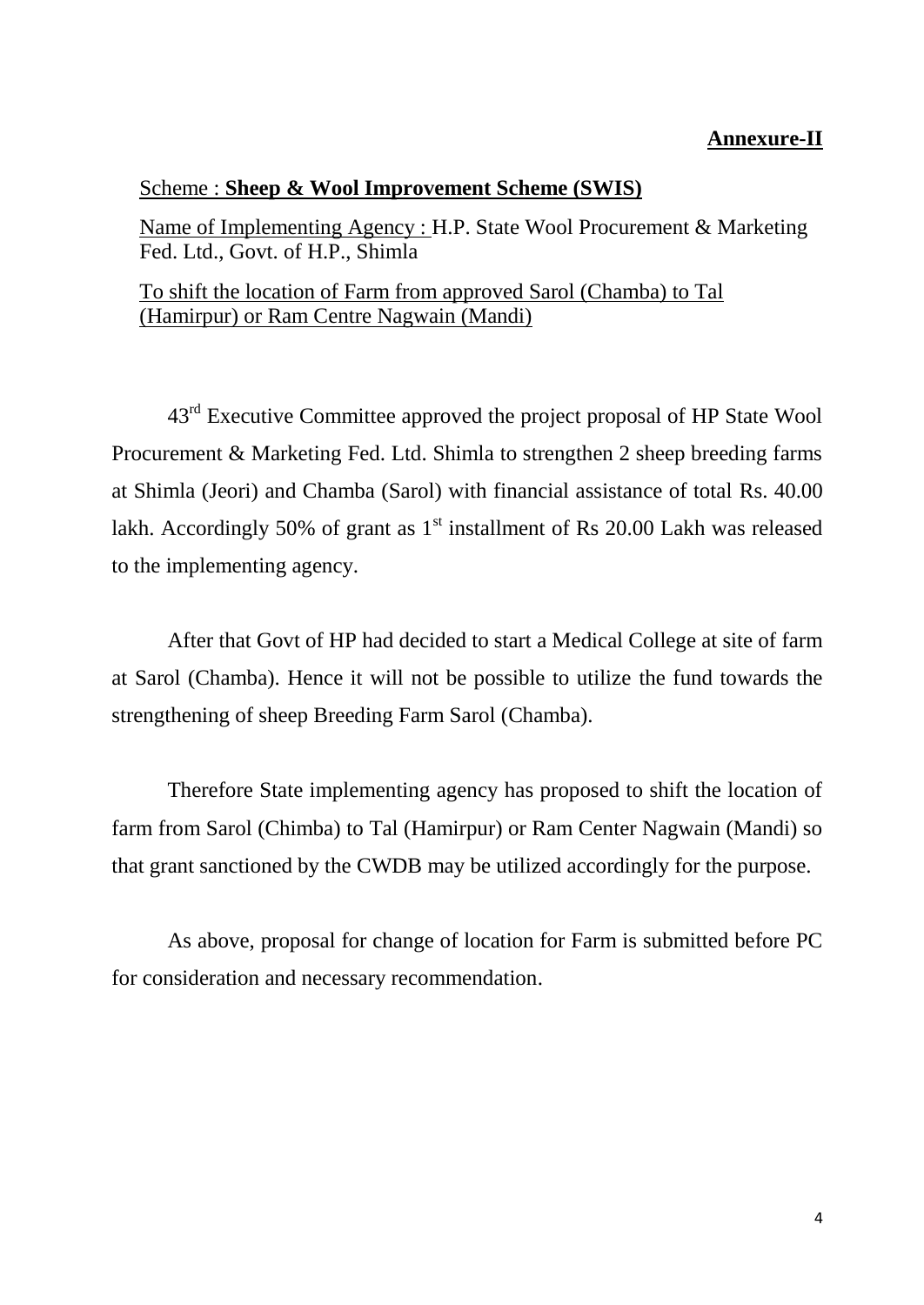#### **Annexure-II**

#### Scheme : **Sheep & Wool Improvement Scheme (SWIS)**

Name of Implementing Agency : H.P. State Wool Procurement & Marketing Fed. Ltd., Govt. of H.P., Shimla

#### To shift the location of Farm from approved Sarol (Chamba) to Tal (Hamirpur) or Ram Centre Nagwain (Mandi)

43rd Executive Committee approved the project proposal of HP State Wool Procurement & Marketing Fed. Ltd. Shimla to strengthen 2 sheep breeding farms at Shimla (Jeori) and Chamba (Sarol) with financial assistance of total Rs. 40.00 lakh. Accordingly 50% of grant as  $1<sup>st</sup>$  installment of Rs 20.00 Lakh was released to the implementing agency.

After that Govt of HP had decided to start a Medical College at site of farm at Sarol (Chamba). Hence it will not be possible to utilize the fund towards the strengthening of sheep Breeding Farm Sarol (Chamba).

Therefore State implementing agency has proposed to shift the location of farm from Sarol (Chimba) to Tal (Hamirpur) or Ram Center Nagwain (Mandi) so that grant sanctioned by the CWDB may be utilized accordingly for the purpose.

As above, proposal for change of location for Farm is submitted before PC for consideration and necessary recommendation.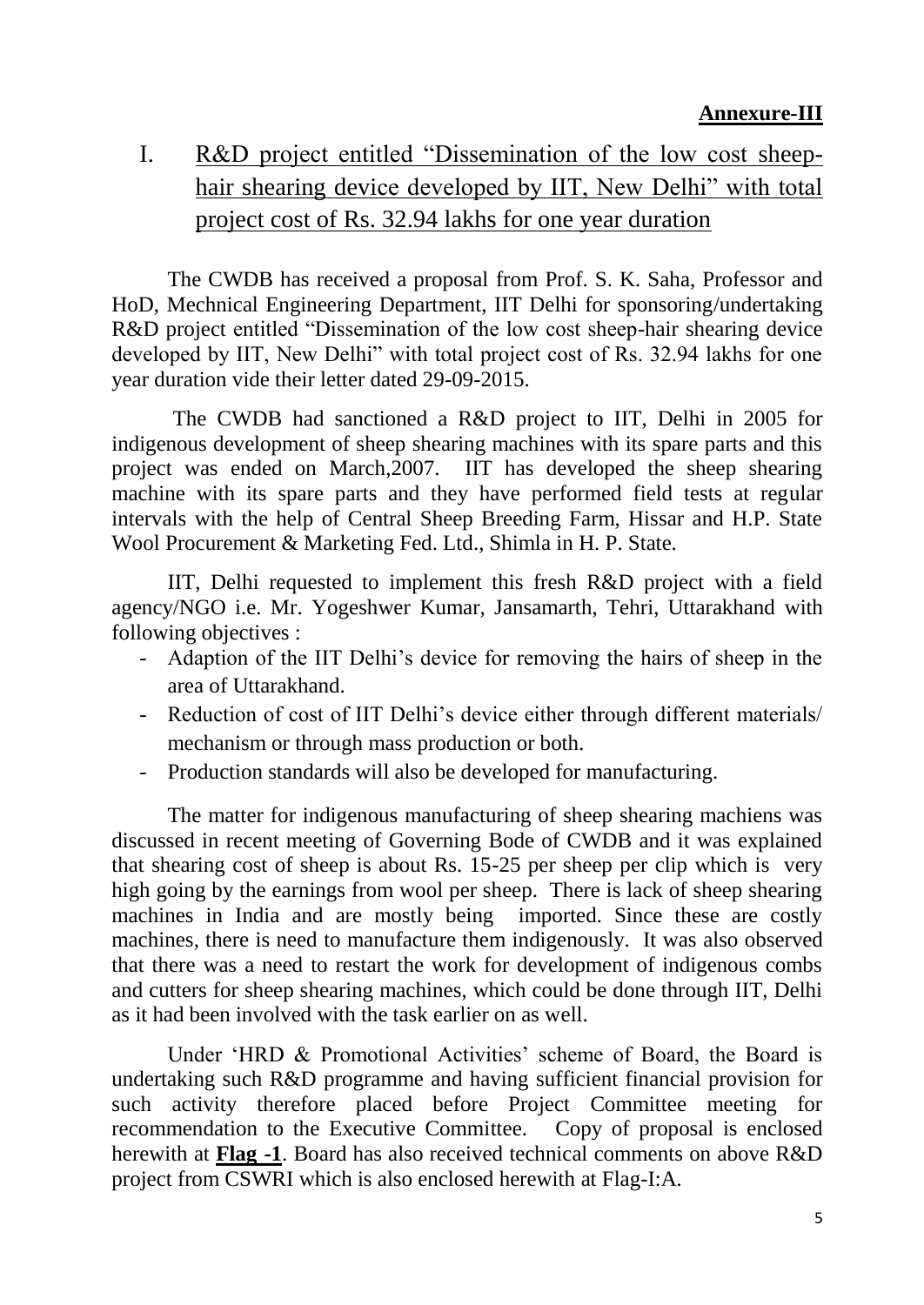# I. R&D project entitled "Dissemination of the low cost sheephair shearing device developed by IIT, New Delhi" with total project cost of Rs. 32.94 lakhs for one year duration

The CWDB has received a proposal from Prof. S. K. Saha, Professor and HoD, Mechnical Engineering Department, IIT Delhi for sponsoring/undertaking R&D project entitled "Dissemination of the low cost sheep-hair shearing device developed by IIT, New Delhi" with total project cost of Rs. 32.94 lakhs for one year duration vide their letter dated 29-09-2015.

The CWDB had sanctioned a R&D project to IIT, Delhi in 2005 for indigenous development of sheep shearing machines with its spare parts and this project was ended on March,2007. IIT has developed the sheep shearing machine with its spare parts and they have performed field tests at regular intervals with the help of Central Sheep Breeding Farm, Hissar and H.P. State Wool Procurement & Marketing Fed. Ltd., Shimla in H. P. State.

IIT, Delhi requested to implement this fresh R&D project with a field agency/NGO i.e. Mr. Yogeshwer Kumar, Jansamarth, Tehri, Uttarakhand with following objectives :

- Adaption of the IIT Delhi's device for removing the hairs of sheep in the area of Uttarakhand.
- Reduction of cost of IIT Delhi's device either through different materials/ mechanism or through mass production or both.
- Production standards will also be developed for manufacturing.

The matter for indigenous manufacturing of sheep shearing machiens was discussed in recent meeting of Governing Bode of CWDB and it was explained that shearing cost of sheep is about Rs. 15-25 per sheep per clip which is very high going by the earnings from wool per sheep. There is lack of sheep shearing machines in India and are mostly being imported. Since these are costly machines, there is need to manufacture them indigenously. It was also observed that there was a need to restart the work for development of indigenous combs and cutters for sheep shearing machines, which could be done through IIT, Delhi as it had been involved with the task earlier on as well.

Under 'HRD & Promotional Activities' scheme of Board, the Board is undertaking such R&D programme and having sufficient financial provision for such activity therefore placed before Project Committee meeting for recommendation to the Executive Committee. Copy of proposal is enclosed herewith at **Flag -1**. Board has also received technical comments on above R&D project from CSWRI which is also enclosed herewith at Flag-I:A.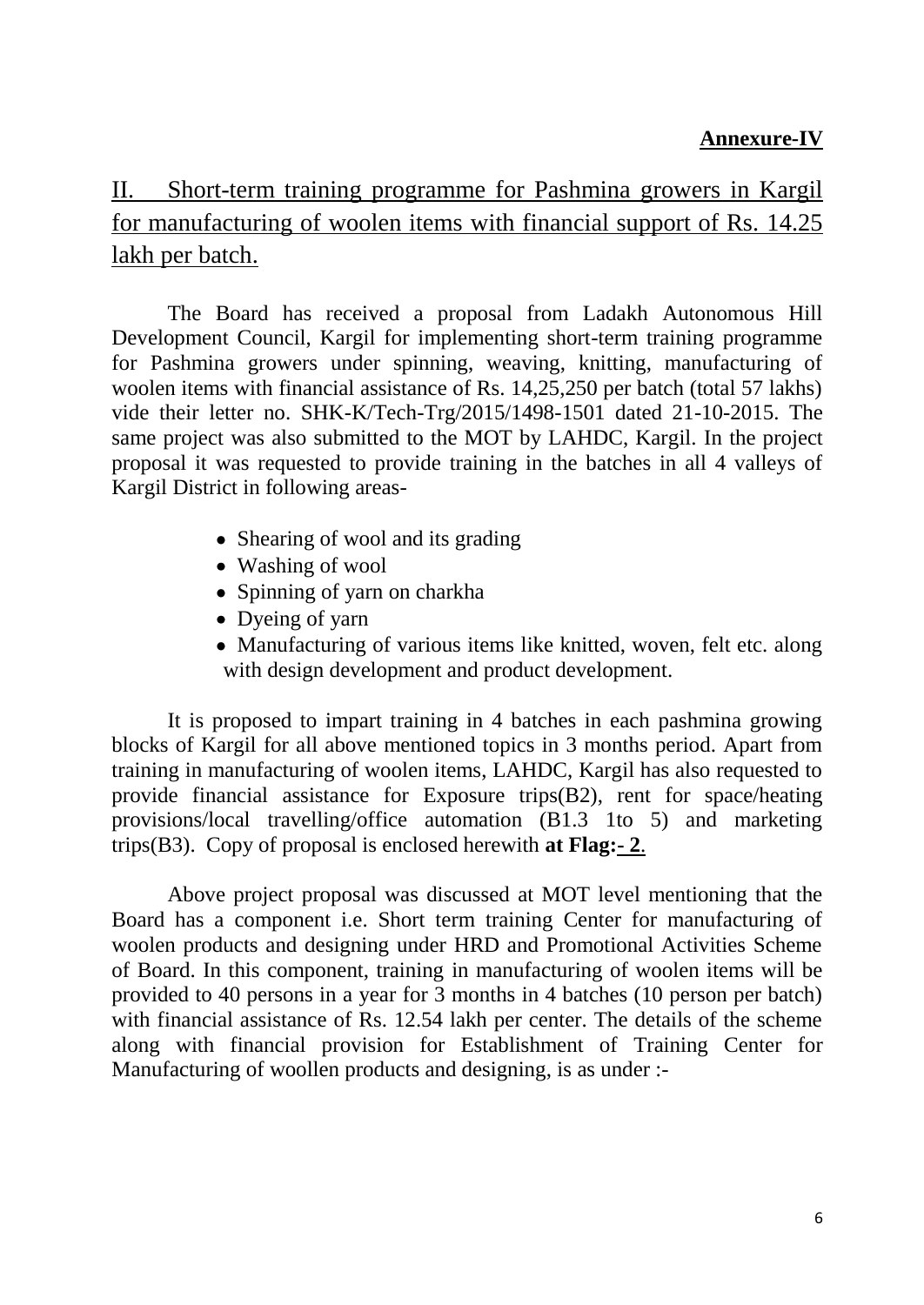### **Annexure-IV**

# II. Short-term training programme for Pashmina growers in Kargil for manufacturing of woolen items with financial support of Rs. 14.25 lakh per batch.

The Board has received a proposal from Ladakh Autonomous Hill Development Council, Kargil for implementing short-term training programme for Pashmina growers under spinning, weaving, knitting, manufacturing of woolen items with financial assistance of Rs. 14,25,250 per batch (total 57 lakhs) vide their letter no. SHK-K/Tech-Trg/2015/1498-1501 dated 21-10-2015. The same project was also submitted to the MOT by LAHDC, Kargil. In the project proposal it was requested to provide training in the batches in all 4 valleys of Kargil District in following areas-

- Shearing of wool and its grading
- Washing of wool
- Spinning of yarn on charkha
- Dyeing of yarn
- Manufacturing of various items like knitted, woven, felt etc. along with design development and product development.

It is proposed to impart training in 4 batches in each pashmina growing blocks of Kargil for all above mentioned topics in 3 months period. Apart from training in manufacturing of woolen items, LAHDC, Kargil has also requested to provide financial assistance for Exposure trips(B2), rent for space/heating provisions/local travelling/office automation (B1.3 1to 5) and marketing trips(B3). Copy of proposal is enclosed herewith **at Flag:- 2**.

Above project proposal was discussed at MOT level mentioning that the Board has a component i.e. Short term training Center for manufacturing of woolen products and designing under HRD and Promotional Activities Scheme of Board. In this component, training in manufacturing of woolen items will be provided to 40 persons in a year for 3 months in 4 batches (10 person per batch) with financial assistance of Rs. 12.54 lakh per center. The details of the scheme along with financial provision for Establishment of Training Center for Manufacturing of woollen products and designing, is as under :-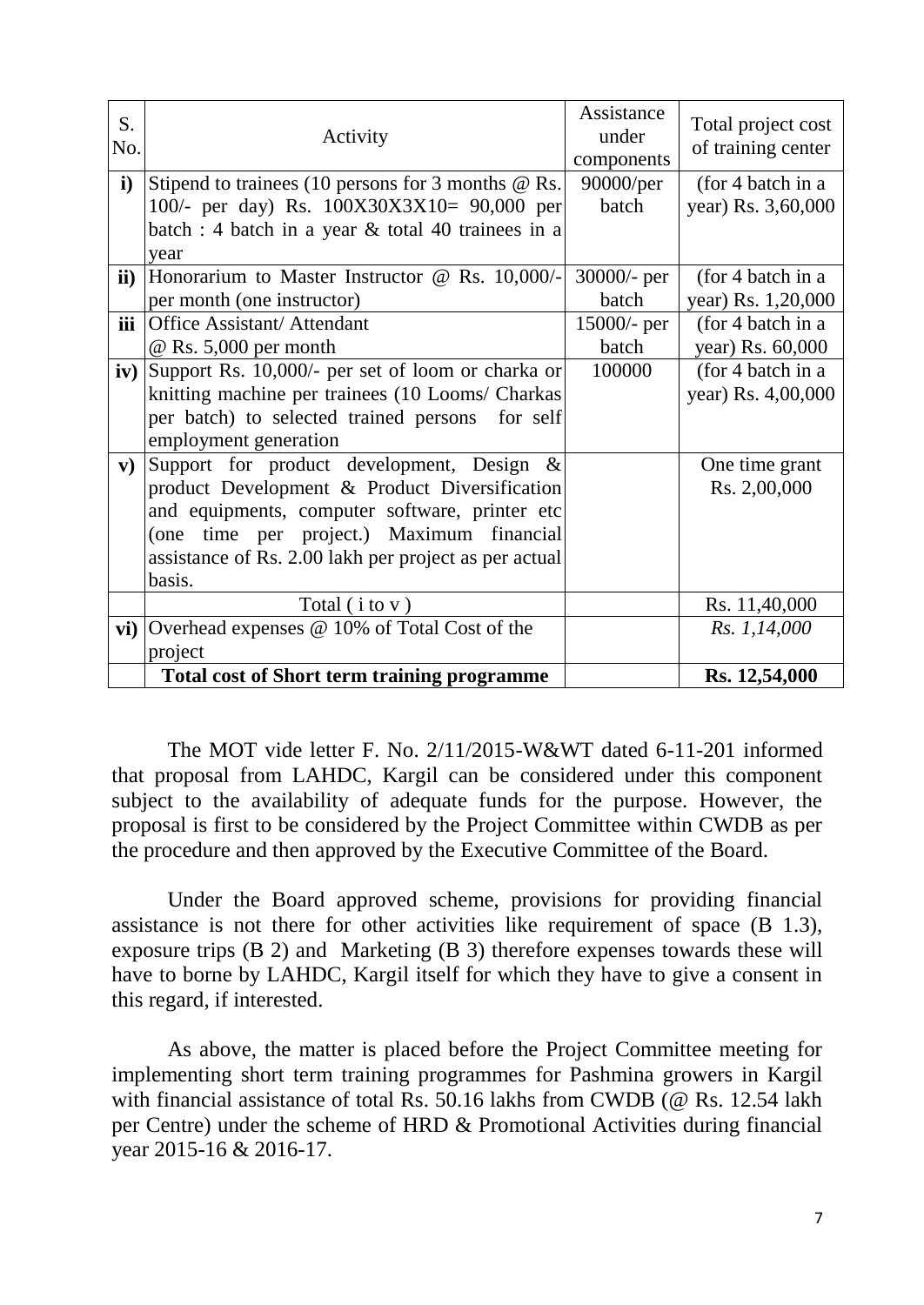| S.<br>No.     | Activity                                                | Assistance<br>under<br>components | Total project cost<br>of training center |
|---------------|---------------------------------------------------------|-----------------------------------|------------------------------------------|
| $\mathbf{i}$  | Stipend to trainees (10 persons for 3 months $@$ Rs.    | 90000/per                         | (for 4 batch in a                        |
|               | 100/- per day) Rs. 100X30X3X10= 90,000 per              | batch                             | year) Rs. 3,60,000                       |
|               | batch : 4 batch in a year & total 40 trainees in a      |                                   |                                          |
|               | year                                                    |                                   |                                          |
| $\mathbf{ii}$ | Honorarium to Master Instructor @ Rs. 10,000/-          | $30000/-$ per                     | (for 4 batch in a                        |
|               | per month (one instructor)                              | batch                             | year) Rs. 1,20,000                       |
| iii           | <b>Office Assistant/ Attendant</b>                      | $15000/-$ per                     | (for 4 batch in a                        |
|               | $\omega$ Rs. 5,000 per month                            | batch                             | year) Rs. 60,000                         |
| iv)           | Support Rs. 10,000/- per set of loom or charka or       | 100000                            | (for 4 batch in a                        |
|               | knitting machine per trainees (10 Looms/ Charkas        |                                   | year) Rs. 4,00,000                       |
|               | per batch) to selected trained persons<br>for self      |                                   |                                          |
|               | employment generation                                   |                                   |                                          |
| ${\bf v})$    | Support for product development, Design<br>$\&$         |                                   | One time grant                           |
|               | product Development & Product Diversification           |                                   | Rs. 2,00,000                             |
|               | and equipments, computer software, printer etc          |                                   |                                          |
|               | (one time per project.) Maximum financial               |                                   |                                          |
|               | assistance of Rs. 2.00 lakh per project as per actual   |                                   |                                          |
|               | basis.                                                  |                                   |                                          |
|               | Total $(i \text{ to } v)$                               |                                   | Rs. 11,40,000                            |
|               | vi) Overhead expenses $\omega$ 10% of Total Cost of the |                                   | Rs. 1,14,000                             |
|               | project                                                 |                                   |                                          |
|               | <b>Total cost of Short term training programme</b>      |                                   | Rs. 12,54,000                            |

The MOT vide letter F. No. 2/11/2015-W&WT dated 6-11-201 informed that proposal from LAHDC, Kargil can be considered under this component subject to the availability of adequate funds for the purpose. However, the proposal is first to be considered by the Project Committee within CWDB as per the procedure and then approved by the Executive Committee of the Board.

Under the Board approved scheme, provisions for providing financial assistance is not there for other activities like requirement of space (B 1.3), exposure trips (B 2) and Marketing (B 3) therefore expenses towards these will have to borne by LAHDC, Kargil itself for which they have to give a consent in this regard, if interested.

As above, the matter is placed before the Project Committee meeting for implementing short term training programmes for Pashmina growers in Kargil with financial assistance of total Rs. 50.16 lakhs from CWDB (@ Rs. 12.54 lakh per Centre) under the scheme of HRD & Promotional Activities during financial year 2015-16 & 2016-17.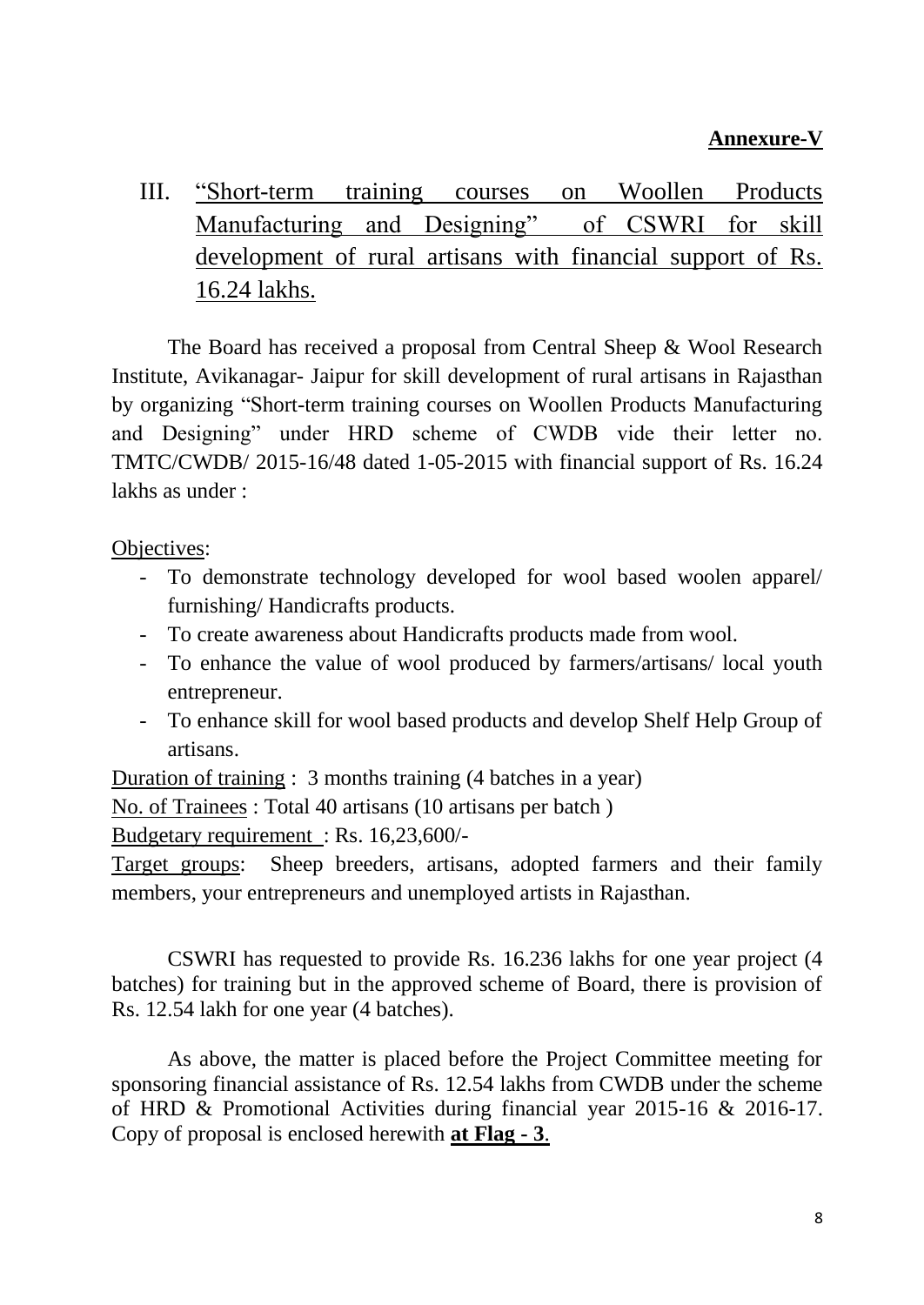### **Annexure-V**

III. "Short-term training courses on Woollen Products Manufacturing and Designing" of CSWRI for skill development of rural artisans with financial support of Rs. 16.24 lakhs.

The Board has received a proposal from Central Sheep & Wool Research Institute, Avikanagar- Jaipur for skill development of rural artisans in Rajasthan by organizing "Short-term training courses on Woollen Products Manufacturing and Designing" under HRD scheme of CWDB vide their letter no. TMTC/CWDB/ 2015-16/48 dated 1-05-2015 with financial support of Rs. 16.24 lakhs as under :

#### Objectives:

- To demonstrate technology developed for wool based woolen apparel/ furnishing/ Handicrafts products.
- To create awareness about Handicrafts products made from wool.
- To enhance the value of wool produced by farmers/artisans/ local youth entrepreneur.
- To enhance skill for wool based products and develop Shelf Help Group of artisans.

Duration of training : 3 months training (4 batches in a year)

No. of Trainees : Total 40 artisans (10 artisans per batch )

Budgetary requirement : Rs. 16,23,600/-

Target groups: Sheep breeders, artisans, adopted farmers and their family members, your entrepreneurs and unemployed artists in Rajasthan.

CSWRI has requested to provide Rs. 16.236 lakhs for one year project (4 batches) for training but in the approved scheme of Board, there is provision of Rs. 12.54 lakh for one year (4 batches).

As above, the matter is placed before the Project Committee meeting for sponsoring financial assistance of Rs. 12.54 lakhs from CWDB under the scheme of HRD & Promotional Activities during financial year 2015-16 & 2016-17. Copy of proposal is enclosed herewith **at Flag - 3**.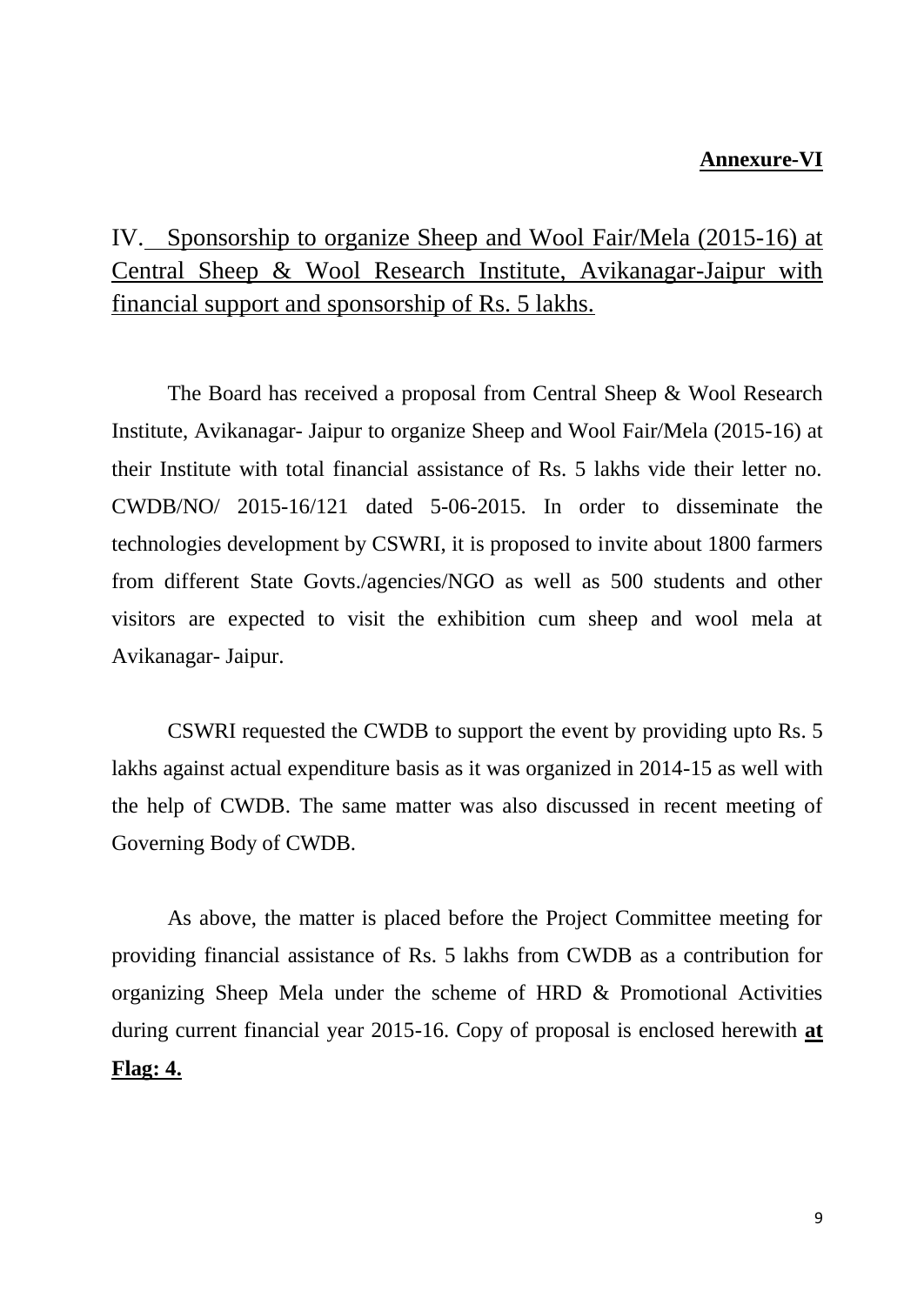#### **Annexure-VI**

## IV. Sponsorship to organize Sheep and Wool Fair/Mela (2015-16) at Central Sheep & Wool Research Institute, Avikanagar-Jaipur with financial support and sponsorship of Rs. 5 lakhs.

The Board has received a proposal from Central Sheep & Wool Research Institute, Avikanagar- Jaipur to organize Sheep and Wool Fair/Mela (2015-16) at their Institute with total financial assistance of Rs. 5 lakhs vide their letter no. CWDB/NO/ 2015-16/121 dated 5-06-2015. In order to disseminate the technologies development by CSWRI, it is proposed to invite about 1800 farmers from different State Govts./agencies/NGO as well as 500 students and other visitors are expected to visit the exhibition cum sheep and wool mela at Avikanagar- Jaipur.

CSWRI requested the CWDB to support the event by providing upto Rs. 5 lakhs against actual expenditure basis as it was organized in 2014-15 as well with the help of CWDB. The same matter was also discussed in recent meeting of Governing Body of CWDB.

As above, the matter is placed before the Project Committee meeting for providing financial assistance of Rs. 5 lakhs from CWDB as a contribution for organizing Sheep Mela under the scheme of HRD & Promotional Activities during current financial year 2015-16. Copy of proposal is enclosed herewith **at Flag: 4.**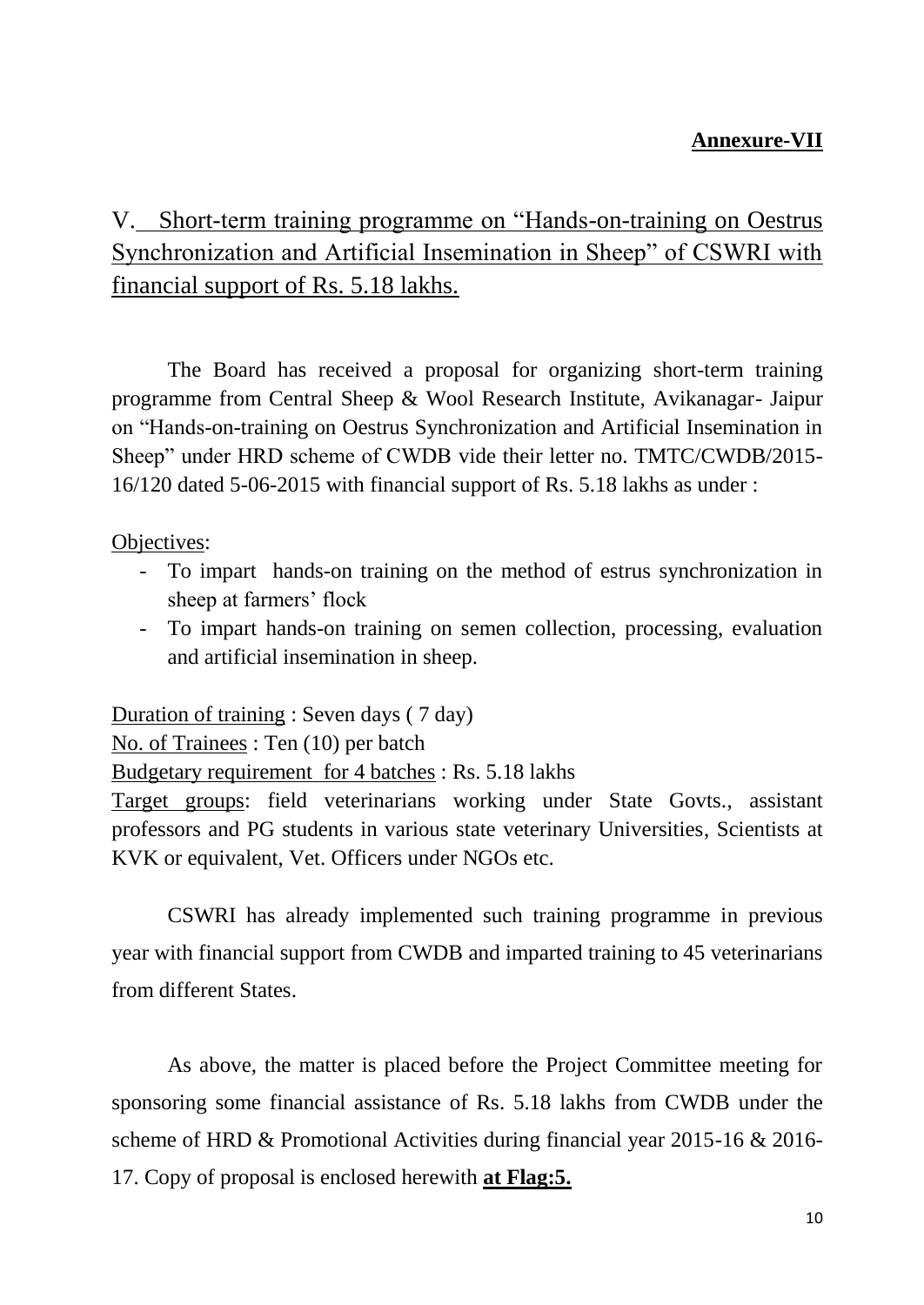## **Annexure-VII**

# V. Short-term training programme on "Hands-on-training on Oestrus Synchronization and Artificial Insemination in Sheep" of CSWRI with financial support of Rs. 5.18 lakhs.

The Board has received a proposal for organizing short-term training programme from Central Sheep & Wool Research Institute, Avikanagar- Jaipur on "Hands-on-training on Oestrus Synchronization and Artificial Insemination in Sheep" under HRD scheme of CWDB vide their letter no. TMTC/CWDB/2015- 16/120 dated 5-06-2015 with financial support of Rs. 5.18 lakhs as under :

#### Objectives:

- To impart hands-on training on the method of estrus synchronization in sheep at farmers' flock
- To impart hands-on training on semen collection, processing, evaluation and artificial insemination in sheep.

Duration of training : Seven days ( 7 day)

No. of Trainees : Ten (10) per batch

Budgetary requirement for 4 batches : Rs. 5.18 lakhs

Target groups: field veterinarians working under State Govts., assistant professors and PG students in various state veterinary Universities, Scientists at KVK or equivalent, Vet. Officers under NGOs etc.

CSWRI has already implemented such training programme in previous year with financial support from CWDB and imparted training to 45 veterinarians from different States.

As above, the matter is placed before the Project Committee meeting for sponsoring some financial assistance of Rs. 5.18 lakhs from CWDB under the scheme of HRD & Promotional Activities during financial year 2015-16 & 2016- 17. Copy of proposal is enclosed herewith **at Flag:5.**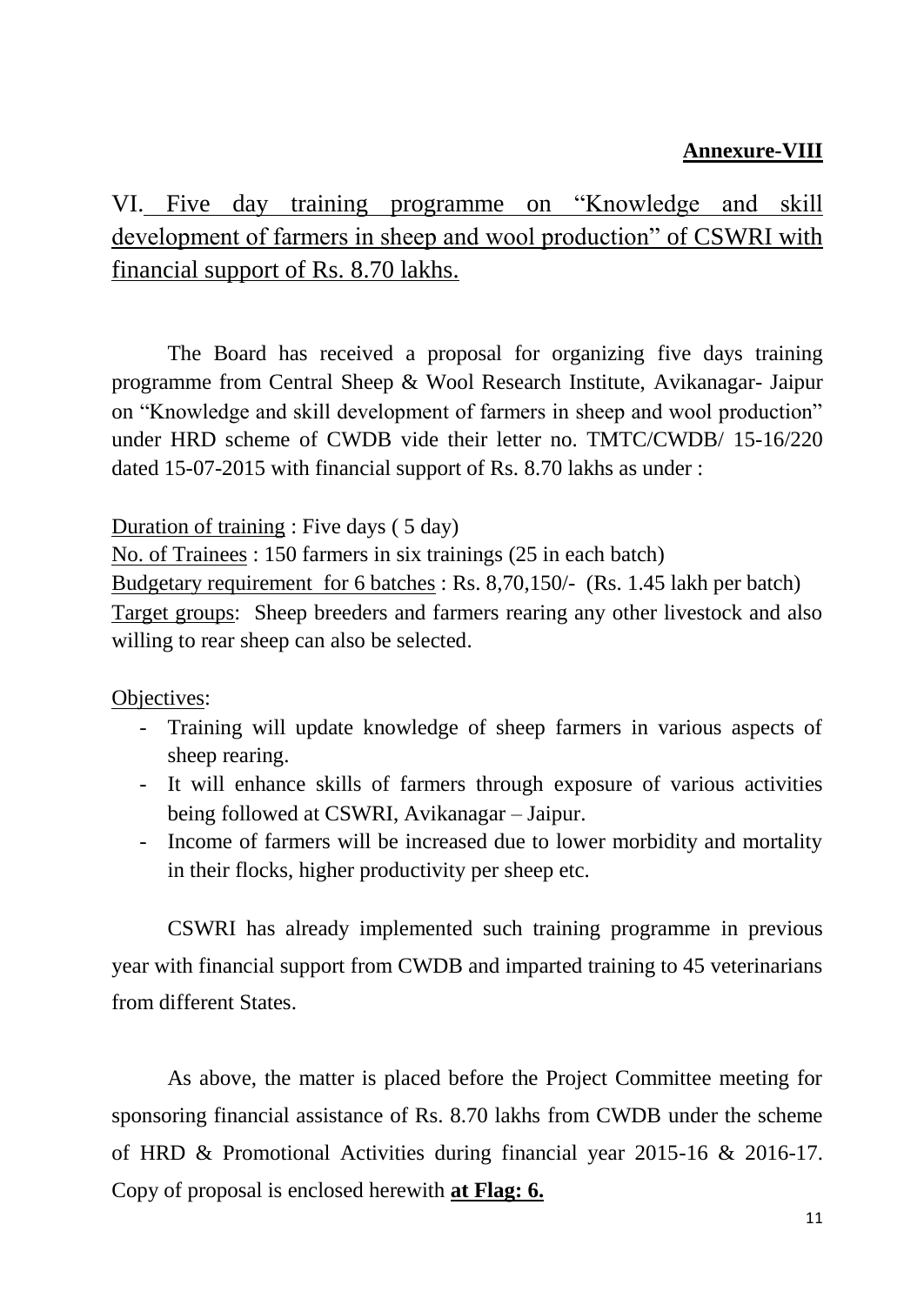## **Annexure-VIII**

VI. Five day training programme on "Knowledge and skill development of farmers in sheep and wool production" of CSWRI with financial support of Rs. 8.70 lakhs.

The Board has received a proposal for organizing five days training programme from Central Sheep & Wool Research Institute, Avikanagar- Jaipur on "Knowledge and skill development of farmers in sheep and wool production" under HRD scheme of CWDB vide their letter no. TMTC/CWDB/ 15-16/220 dated 15-07-2015 with financial support of Rs. 8.70 lakhs as under :

Duration of training : Five days ( 5 day)

No. of Trainees : 150 farmers in six trainings (25 in each batch)

Budgetary requirement for 6 batches : Rs. 8,70,150/- (Rs. 1.45 lakh per batch) Target groups: Sheep breeders and farmers rearing any other livestock and also willing to rear sheep can also be selected.

Objectives:

- Training will update knowledge of sheep farmers in various aspects of sheep rearing.
- It will enhance skills of farmers through exposure of various activities being followed at CSWRI, Avikanagar – Jaipur.
- Income of farmers will be increased due to lower morbidity and mortality in their flocks, higher productivity per sheep etc.

CSWRI has already implemented such training programme in previous year with financial support from CWDB and imparted training to 45 veterinarians from different States.

As above, the matter is placed before the Project Committee meeting for sponsoring financial assistance of Rs. 8.70 lakhs from CWDB under the scheme of HRD & Promotional Activities during financial year 2015-16 & 2016-17. Copy of proposal is enclosed herewith **at Flag: 6.**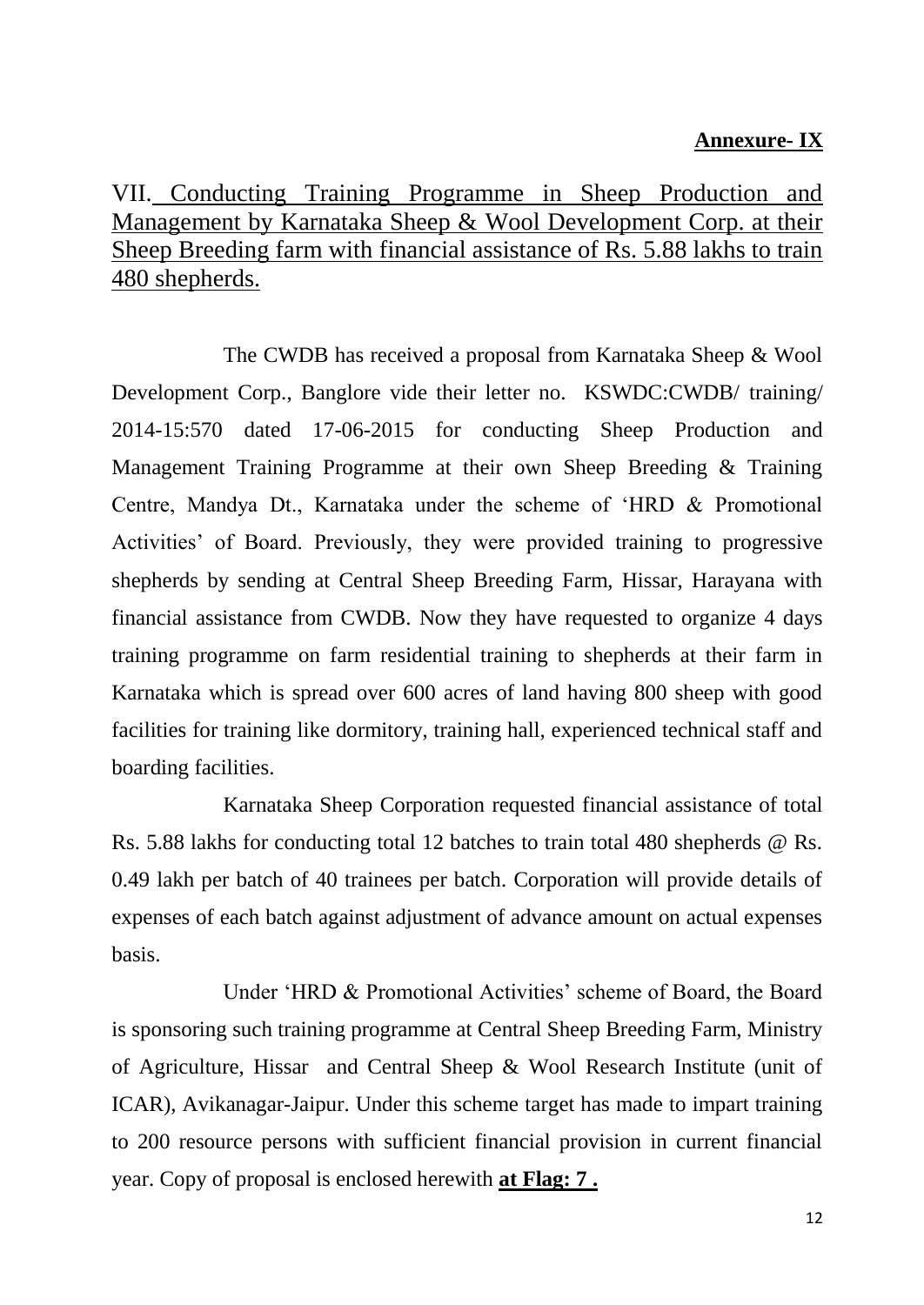### **Annexure- IX**

## VII. Conducting Training Programme in Sheep Production and Management by Karnataka Sheep & Wool Development Corp. at their Sheep Breeding farm with financial assistance of Rs. 5.88 lakhs to train 480 shepherds.

The CWDB has received a proposal from Karnataka Sheep & Wool Development Corp., Banglore vide their letter no. KSWDC:CWDB/ training/ 2014-15:570 dated 17-06-2015 for conducting Sheep Production and Management Training Programme at their own Sheep Breeding & Training Centre, Mandya Dt., Karnataka under the scheme of "HRD & Promotional Activities" of Board. Previously, they were provided training to progressive shepherds by sending at Central Sheep Breeding Farm, Hissar, Harayana with financial assistance from CWDB. Now they have requested to organize 4 days training programme on farm residential training to shepherds at their farm in Karnataka which is spread over 600 acres of land having 800 sheep with good facilities for training like dormitory, training hall, experienced technical staff and boarding facilities.

Karnataka Sheep Corporation requested financial assistance of total Rs. 5.88 lakhs for conducting total 12 batches to train total 480 shepherds @ Rs. 0.49 lakh per batch of 40 trainees per batch. Corporation will provide details of expenses of each batch against adjustment of advance amount on actual expenses basis.

Under 'HRD & Promotional Activities' scheme of Board, the Board is sponsoring such training programme at Central Sheep Breeding Farm, Ministry of Agriculture, Hissar and Central Sheep & Wool Research Institute (unit of ICAR), Avikanagar-Jaipur. Under this scheme target has made to impart training to 200 resource persons with sufficient financial provision in current financial year. Copy of proposal is enclosed herewith **at Flag: 7 .**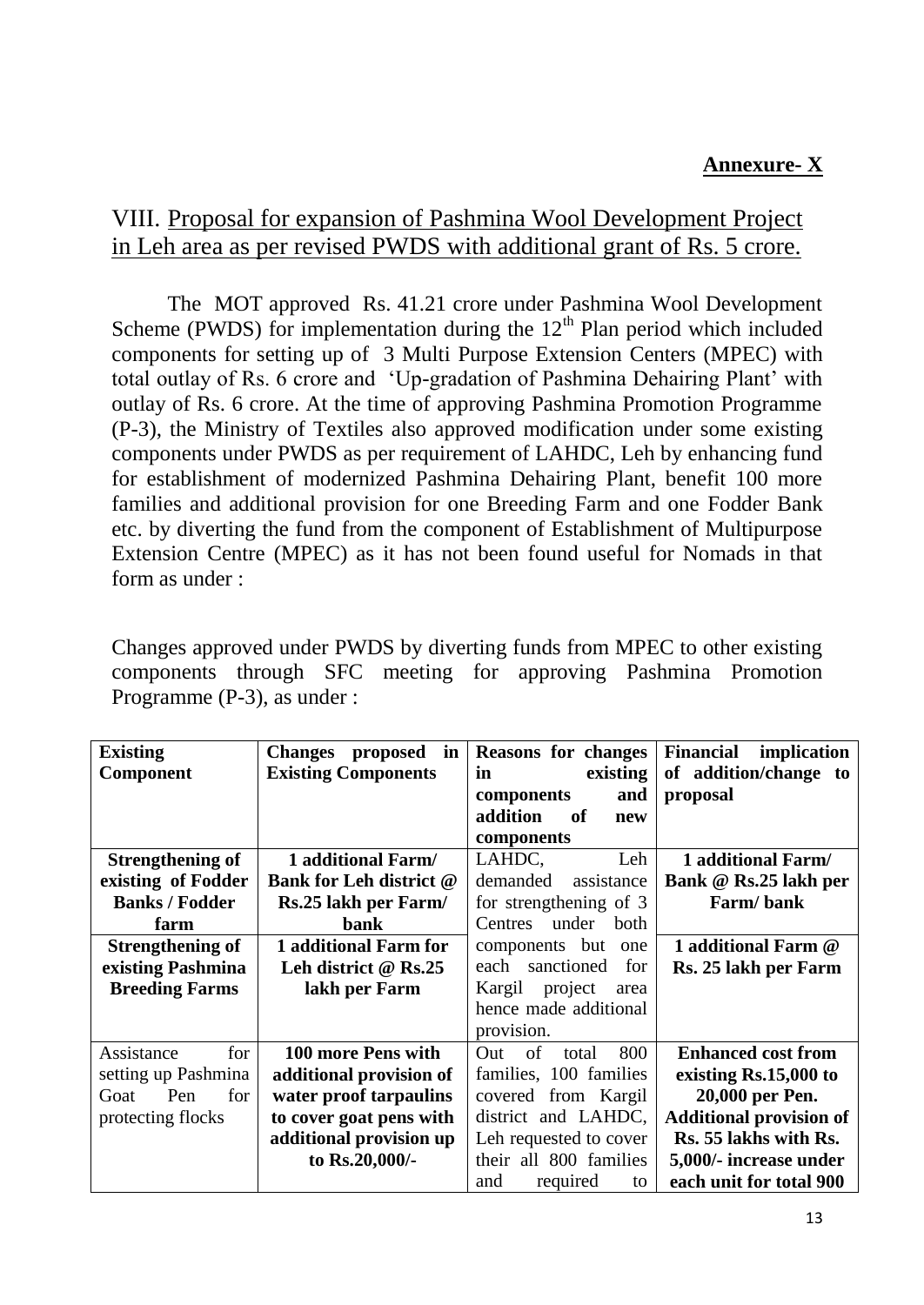## **Annexure- X**

## VIII. Proposal for expansion of Pashmina Wool Development Project in Leh area as per revised PWDS with additional grant of Rs. 5 crore.

The MOT approved Rs. 41.21 crore under Pashmina Wool Development Scheme (PWDS) for implementation during the  $12<sup>th</sup>$  Plan period which included components for setting up of 3 Multi Purpose Extension Centers (MPEC) with total outlay of Rs. 6 crore and "Up-gradation of Pashmina Dehairing Plant" with outlay of Rs. 6 crore. At the time of approving Pashmina Promotion Programme (P-3), the Ministry of Textiles also approved modification under some existing components under PWDS as per requirement of LAHDC, Leh by enhancing fund for establishment of modernized Pashmina Dehairing Plant, benefit 100 more families and additional provision for one Breeding Farm and one Fodder Bank etc. by diverting the fund from the component of Establishment of Multipurpose Extension Centre (MPEC) as it has not been found useful for Nomads in that form as under :

Changes approved under PWDS by diverting funds from MPEC to other existing components through SFC meeting for approving Pashmina Promotion Programme (P-3), as under :

| <b>Existing</b>         | <b>Changes</b><br>proposed<br>in | <b>Reasons for changes</b> | <b>Financial</b><br>implication |
|-------------------------|----------------------------------|----------------------------|---------------------------------|
| Component               | <b>Existing Components</b>       | existing<br>in             | of addition/change to           |
|                         |                                  | components<br>and          | proposal                        |
|                         |                                  | addition<br>of<br>new      |                                 |
|                         |                                  | components                 |                                 |
| <b>Strengthening of</b> | 1 additional Farm/               | LAHDC,<br>Leh              | 1 additional Farm/              |
| existing of Fodder      | <b>Bank for Leh district @</b>   | demanded<br>assistance     | Bank @ Rs.25 lakh per           |
| <b>Banks / Fodder</b>   | Rs.25 lakh per Farm/             | for strengthening of 3     | Farm/bank                       |
| farm                    | bank                             | under<br>both<br>Centres   |                                 |
| <b>Strengthening of</b> | 1 additional Farm for            | components but<br>one      | 1 additional Farm @             |
| existing Pashmina       | Leh district $@$ Rs.25           | each sanctioned<br>for     | Rs. 25 lakh per Farm            |
| <b>Breeding Farms</b>   | lakh per Farm                    | Kargil project<br>area     |                                 |
|                         |                                  | hence made additional      |                                 |
|                         |                                  | provision.                 |                                 |
| Assistance<br>for       | 100 more Pens with               | of<br>800<br>Out<br>total  | <b>Enhanced cost from</b>       |
| setting up Pashmina     | additional provision of          | families, 100 families     | existing Rs.15,000 to           |
| for<br>Pen<br>Goat      | water proof tarpaulins           | covered from Kargil        | 20,000 per Pen.                 |
| protecting flocks       | to cover goat pens with          | district and LAHDC,        | <b>Additional provision of</b>  |
|                         | additional provision up          | Leh requested to cover     | Rs. 55 lakhs with Rs.           |
|                         | to Rs.20,000/-                   | their all 800 families     | 5,000/- increase under          |
|                         |                                  | and<br>required<br>to      | each unit for total 900         |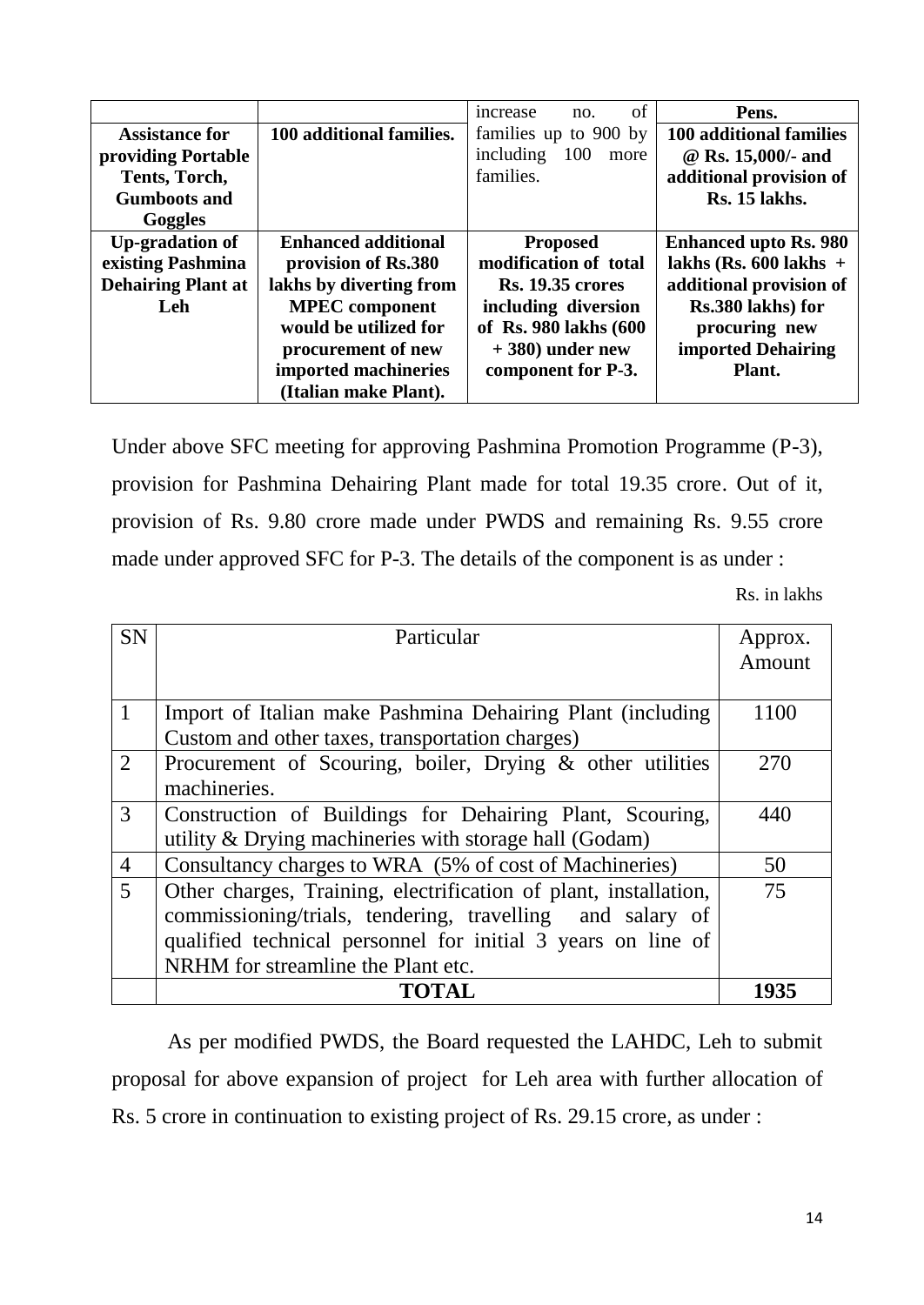|                           |                            | of<br>increase<br>no.    | Pens.                        |
|---------------------------|----------------------------|--------------------------|------------------------------|
| <b>Assistance for</b>     | 100 additional families.   | families up to 900 by    | 100 additional families      |
| providing Portable        |                            | including<br>100<br>more | @ Rs. 15,000/- and           |
| Tents, Torch,             |                            | families.                | additional provision of      |
| <b>Gumboots and</b>       |                            |                          | Rs. 15 lakhs.                |
| Goggles                   |                            |                          |                              |
| <b>Up-gradation of</b>    | <b>Enhanced additional</b> | <b>Proposed</b>          | <b>Enhanced upto Rs. 980</b> |
| existing Pashmina         | provision of Rs.380        | modification of total    | lakhs (Rs. $600$ lakhs +     |
| <b>Dehairing Plant at</b> | lakhs by diverting from    | <b>Rs. 19.35 crores</b>  | additional provision of      |
| Leh                       | <b>MPEC</b> component      | including diversion      | Rs.380 lakhs) for            |
|                           | would be utilized for      | of Rs. 980 lakhs (600    | procuring new                |
|                           | procurement of new         | $+380$ ) under new       | <b>imported Dehairing</b>    |
|                           | imported machineries       | component for P-3.       | Plant.                       |
|                           | (Italian make Plant).      |                          |                              |

Under above SFC meeting for approving Pashmina Promotion Programme (P-3), provision for Pashmina Dehairing Plant made for total 19.35 crore. Out of it, provision of Rs. 9.80 crore made under PWDS and remaining Rs. 9.55 crore made under approved SFC for P-3. The details of the component is as under :

Rs. in lakhs

| <b>SN</b>      | Particular                                                       | Approx.<br>Amount |
|----------------|------------------------------------------------------------------|-------------------|
|                |                                                                  |                   |
| $\mathbf{1}$   | Import of Italian make Pashmina Dehairing Plant (including       | 1100              |
|                | Custom and other taxes, transportation charges)                  |                   |
| 2              | Procurement of Scouring, boiler, Drying & other utilities        | 270               |
|                | machineries.                                                     |                   |
| 3              | Construction of Buildings for Dehairing Plant, Scouring,         | 440               |
|                | utility & Drying machineries with storage hall (Godam)           |                   |
| $\overline{4}$ | Consultancy charges to WRA (5% of cost of Machineries)           | 50                |
| $\overline{5}$ | Other charges, Training, electrification of plant, installation, | 75                |
|                | commissioning/trials, tendering, travelling and salary of        |                   |
|                | qualified technical personnel for initial 3 years on line of     |                   |
|                | NRHM for streamline the Plant etc.                               |                   |
|                | <b>TOTAL</b>                                                     | 1935              |

As per modified PWDS, the Board requested the LAHDC, Leh to submit proposal for above expansion of project for Leh area with further allocation of Rs. 5 crore in continuation to existing project of Rs. 29.15 crore, as under :